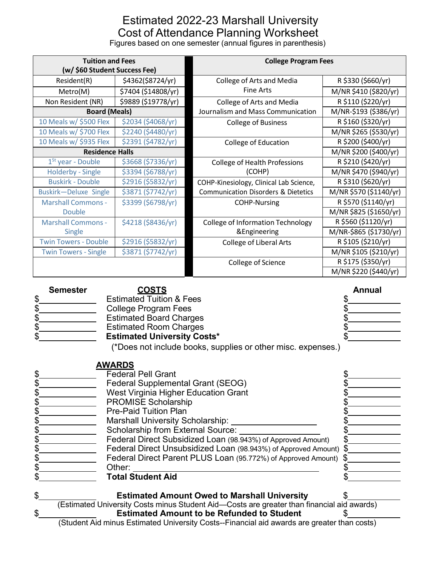## Estimated 2022-23 Marshall University Cost of Attendance Planning Worksheet

Figures based on one semester (annual figures in parenthesis)

| <b>Tuition and Fees</b><br>(w/ \$60 Student Success Fee) |                     | <b>College Program Fees</b>                          |                        |  |
|----------------------------------------------------------|---------------------|------------------------------------------------------|------------------------|--|
| Resident(R)                                              | \$4362(\$8724/yr)   | College of Arts and Media                            | R \$330 (\$660/yr)     |  |
| Metro(M)                                                 | \$7404 (\$14808/yr) | <b>Fine Arts</b>                                     | M/NR \$410 (\$820/yr)  |  |
| Non Resident (NR)                                        | \$9889 (\$19778/yr) | College of Arts and Media                            | R \$110 (\$220/yr)     |  |
| <b>Board (Meals)</b>                                     |                     | Journalism and Mass Communication                    | M/NR-\$193 (\$386/yr)  |  |
| 10 Meals w/ \$500 Flex                                   | \$2034 (\$4068/yr)  | <b>College of Business</b>                           | R \$160 (\$320/yr)     |  |
| 10 Meals w/ \$700 Flex                                   | \$2240 (\$4480/yr)  |                                                      | M/NR \$265 (\$530/yr)  |  |
| 10 Meals w/ \$935 Flex                                   | \$2391 (\$4782/yr)  | <b>College of Education</b>                          | R \$200 (\$400/yr)     |  |
| <b>Residence Halls</b>                                   |                     |                                                      | M/NR \$200 (\$400/yr)  |  |
| $1st$ year - Double                                      | \$3668 (\$7336/yr)  | <b>College of Health Professions</b>                 | R \$210 (\$420/yr)     |  |
| <b>Holderby - Single</b>                                 | \$3394 (\$6788/yr)  | (COHP)                                               | M/NR \$470 (\$940/yr)  |  |
| <b>Buskirk - Double</b>                                  | \$2916 (\$5832/yr)  | COHP-Kinesiology, Clinical Lab Science,              | R \$310 (\$620/yr)     |  |
| Buskirk-Deluxe Single                                    | \$3871 (\$7742/yr)  | <b>Communication Disorders &amp; Dietetics</b>       | M/NR \$570 (\$1140/yr) |  |
| <b>Marshall Commons -</b>                                | \$3399 (\$6798/yr)  | <b>COHP-Nursing</b>                                  | R \$570 (\$1140/yr)    |  |
| Double                                                   |                     |                                                      | M/NR \$825 (\$1650/yr) |  |
| <b>Marshall Commons -</b>                                | \$4218 (\$8436/yr)  | <b>College of Information Technology</b>             | R \$560 (\$1120/yr)    |  |
| <b>Single</b>                                            |                     | &Engineering                                         | M/NR-\$865 (\$1730/yr) |  |
| <b>Twin Towers - Double</b>                              | \$2916 (\$5832/yr)  | R \$105 (\$210/yr)<br><b>College of Liberal Arts</b> |                        |  |
| <b>Twin Towers - Single</b>                              | \$3871 (\$7742/yr)  |                                                      | M/NR \$105 (\$210/yr)  |  |
|                                                          |                     | College of Science                                   | R \$175 (\$350/yr)     |  |
|                                                          |                     |                                                      | M/NR \$220 (\$440/yr)  |  |

| <b>Semester</b> | <u>COSTS</u>                                                 | <b>Annual</b> |
|-----------------|--------------------------------------------------------------|---------------|
|                 | <b>Estimated Tuition &amp; Fees</b>                          |               |
|                 | College Program Fees                                         |               |
|                 | <b>Estimated Board Charges</b>                               |               |
|                 | <b>Estimated Room Charges</b>                                |               |
|                 | <b>Estimated University Costs*</b>                           |               |
|                 | (*Does not include books, supplies or other misc. expenses.) |               |

|    | <u>AWARDS</u>                                                                              |  |
|----|--------------------------------------------------------------------------------------------|--|
| S  | <b>Federal Pell Grant</b>                                                                  |  |
|    | <b>Federal Supplemental Grant (SEOG)</b>                                                   |  |
|    | West Virginia Higher Education Grant                                                       |  |
|    | <b>PROMISE Scholarship</b>                                                                 |  |
|    | <b>Pre-Paid Tuition Plan</b>                                                               |  |
|    | <b>Marshall University Scholarship:</b>                                                    |  |
|    | Scholarship from External Source:                                                          |  |
|    | Federal Direct Subsidized Loan (98.943%) of Approved Amount)                               |  |
|    | Federal Direct Unsubsidized Loan (98.943%) of Approved Amount) \$                          |  |
|    | Federal Direct Parent PLUS Loan (95.772%) of Approved Amount)                              |  |
|    | Other:                                                                                     |  |
|    | <b>Total Student Aid</b>                                                                   |  |
|    |                                                                                            |  |
| \$ | <b>Estimated Amount Owed to Marshall University</b>                                        |  |
|    | (Estimated University Costs minus Student Aid—Costs are greater than financial aid awards) |  |
| \$ | <b>Estimated Amount to be Refunded to Student</b>                                          |  |

(Student Aid minus Estimated University Costs--Financial aid awards are greater than costs)